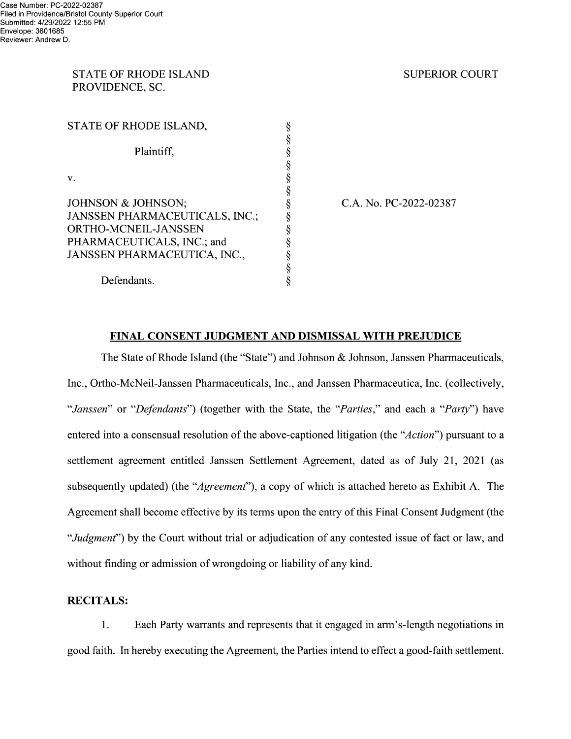### STATE OF RHODE ISLAND SUPERIOR COURT PROVIDENCE, SC.

Defendants.

| STATE OF RHODE ISLAND,                                                             |  |
|------------------------------------------------------------------------------------|--|
| Plaintiff,                                                                         |  |
| V.                                                                                 |  |
| JOHNSON & JOHNSON;<br>JANSSEN PHARMACEUTICALS, INC.;                               |  |
| ORTHO-MCNEIL-JANSSEN<br>PHARMACEUTICALS, INC.; and<br>JANSSEN PHARMACEUTICA, INC., |  |

CMOOOOmCMOOOOO'DCMOOOOmCMOOOOOOCm C.A. N0. PC-2022-02387

## FINAL CONSENT JUDGMENT AND DISMISSAL WITH PREJUDICE

The State of Rhode Island (the "State") and Johnson & Johnson, Janssen Pharmaceuticals, Inc., Ortho-McNeil-Janssen Pharmaceuticals, Inc., and Janssen Pharmaceutica, Inc. (collectively, "Janssen" or "Defendants") (together with the State, the "Parties," and each a "Party") have entered into a consensual resolution of the above-captioned litigation (the " $Action$ ") pursuant to a settlement agreement entitled Janssen Settlement Agreement, dated as 0f July 21, 2021 (as subsequently updated) (the "*Agreement*"), a copy of which is attached hereto as Exhibit A. The Agreement shall become effective by its terms upon the entry of this Final Consent Judgment (the "Judgment") by the Court without trial or adjudication of any contested issue of fact or law, and without finding or admission of wrongdoing or liability of any kind.

## RECITALS:

1. Each Party warrants and represents that it engaged in arm's—length negotiations in good faith. In hereby executing the Agreement, the Parties intend to effect a good-faith settlement.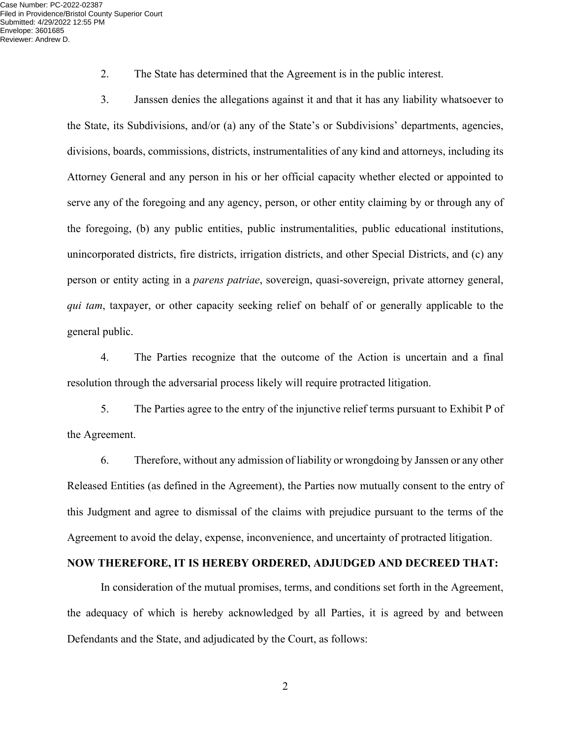2. The State has determined that the Agreement is in the public interest.

3. Janssen denies the allegations against it and that it has any liability whatsoever to the State, its Subdivisions, and/or (a) any of the State's or Subdivisions' departments, agencies, divisions, boards, commissions, districts, instrumentalities of any kind and attorneys, including its Attorney General and any person in his or her official capacity whether elected or appointed to serve any of the foregoing and any agency, person, or other entity claiming by or through any of the foregoing, (b) any public entities, public instrumentalities, public educational institutions, unincorporated districts, fire districts, irrigation districts, and other Special Districts, and (c) any person or entity acting in a *parens patriae*, sovereign, quasi-sovereign, private attorney general, *qui tam*, taxpayer, or other capacity seeking relief on behalf of or generally applicable to the general public.

4. The Parties recognize that the outcome of the Action is uncertain and a final resolution through the adversarial process likely will require protracted litigation.

5. The Parties agree to the entry of the injunctive relief terms pursuant to Exhibit P of the Agreement.

6. Therefore, without any admission of liability or wrongdoing by Janssen or any other Released Entities (as defined in the Agreement), the Parties now mutually consent to the entry of this Judgment and agree to dismissal of the claims with prejudice pursuant to the terms of the Agreement to avoid the delay, expense, inconvenience, and uncertainty of protracted litigation.

### **NOW THEREFORE, IT IS HEREBY ORDERED, ADJUDGED AND DECREED THAT:**

In consideration of the mutual promises, terms, and conditions set forth in the Agreement, the adequacy of which is hereby acknowledged by all Parties, it is agreed by and between Defendants and the State, and adjudicated by the Court, as follows: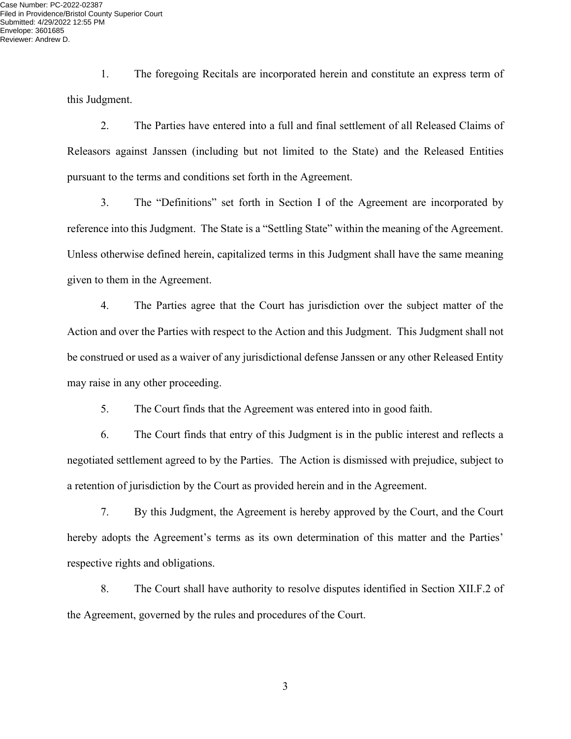1. The foregoing Recitals are incorporated herein and constitute an express term of this Judgment.

2. The Parties have entered into a full and final settlement of all Released Claims of Releasors against Janssen (including but not limited to the State) and the Released Entities pursuant to the terms and conditions set forth in the Agreement.

3. The "Definitions" set forth in Section I of the Agreement are incorporated by reference into this Judgment. The State is a "Settling State" within the meaning of the Agreement. Unless otherwise defined herein, capitalized terms in this Judgment shall have the same meaning given to them in the Agreement.

4. The Parties agree that the Court has jurisdiction over the subject matter of the Action and over the Parties with respect to the Action and this Judgment. This Judgment shall not be construed or used as a waiver of any jurisdictional defense Janssen or any other Released Entity may raise in any other proceeding.

5. The Court finds that the Agreement was entered into in good faith.

6. The Court finds that entry of this Judgment is in the public interest and reflects a negotiated settlement agreed to by the Parties. The Action is dismissed with prejudice, subject to a retention of jurisdiction by the Court as provided herein and in the Agreement.

7. By this Judgment, the Agreement is hereby approved by the Court, and the Court hereby adopts the Agreement's terms as its own determination of this matter and the Parties' respective rights and obligations.

8. The Court shall have authority to resolve disputes identified in Section XII.F.2 of the Agreement, governed by the rules and procedures of the Court.

3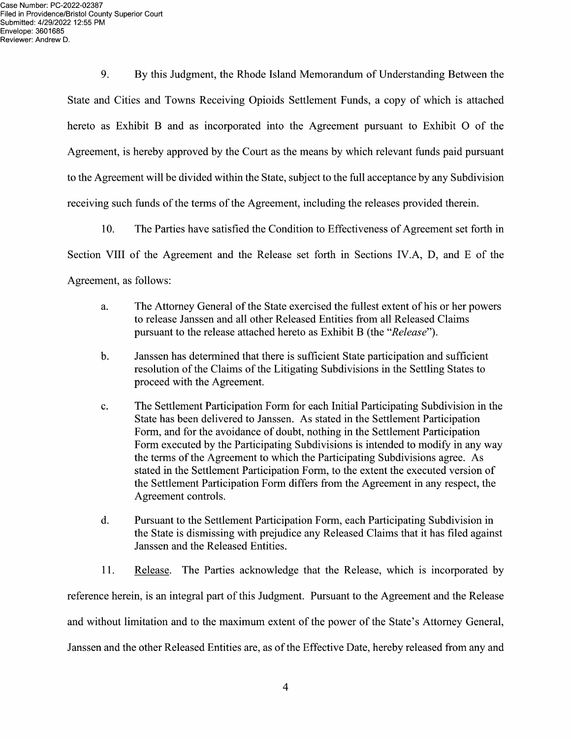9. By this Judgment, the Rhode Island Memorandum of Understanding Between the State and Cities and Towns Receiving Opioids Settlement Funds, a copy of which is attached hereto as Exhibit  $\bf{B}$  and as incorporated into the Agreement pursuant to Exhibit  $\bf{O}$  of the Agreement, is hereby approved by the Court as the means by which relevant funds paid pursuant to the Agreement will be divided within the State, subject to the full acceptance by any Subdivision receiving such funds of the terms of the Agreement, including the releases provided therein.

10. The Parties have satisfied the Condition to Effectiveness of Agreement set forth in Section VIII of the Agreement and the Release set forth in Sections IV.A, D, and E of the Agreement, as follows:

- a. The Attorney General of the State exercised the fullest extent of his or her powers to release Janssen and all other Released Entities from all Released Claims pursuant to the release attached hereto as Exhibit B (the "Release").
- Janssen has determined that there is sufficient State participation and sufficient  $\mathbf{b}$ . resolution of the Claims of the Litigating Subdivisions in the Settling States t0 proceed with the Agreement.
- The Settlement Participation Form for each Initial Participating Subdivision in the  $\mathbf{c}$ . State has been delivered to Janssen. As stated in the Settlement Participation Form, and for the avoidance of doubt, nothing in the Settlement Participation Form executed by the Participating Subdivisions is intended to modify in any way the terms of the Agreement to which the Participating Subdivisions agree. As stated in the Settlement Participation Form, to the extent the executed version 0f the Settlement Participation Form differs from the Agreement in any respect, the Agreement controls.
- d. Pursuant t0 the Settlement Participation Form, each Participating Subdivision in the State is dismissing with prejudice any Released Claims that it has filed against Janssen and the Released Entities.

11. Release. The Parties acknowledge that the Release, which is incorporated by reference herein, is an integral part of this Judgment. Pursuant to the Agreement and the Release and Without limitation and to the maximum extent 0f the power 0f the State's Attorney General, Janssen and the other Released Entities are, as of the Effective Date, hereby released from any and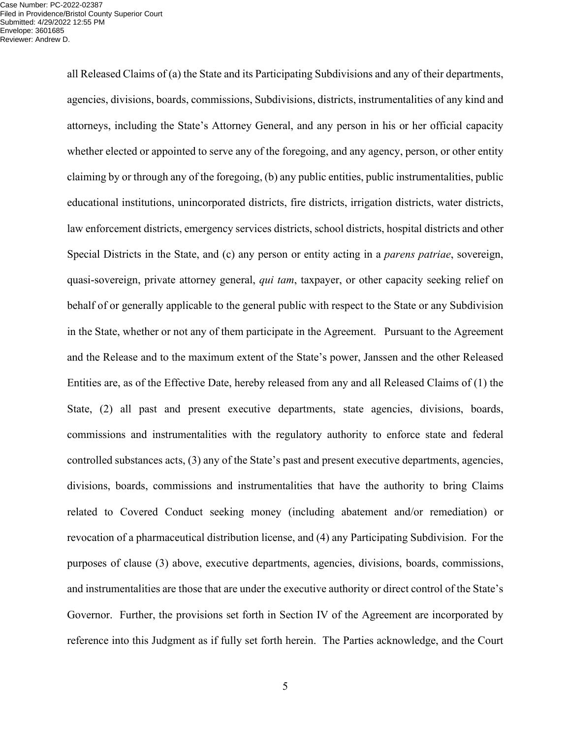all Released Claims of (a) the State and its Participating Subdivisions and any of their departments, agencies, divisions, boards, commissions, Subdivisions, districts, instrumentalities of any kind and attorneys, including the State's Attorney General, and any person in his or her official capacity whether elected or appointed to serve any of the foregoing, and any agency, person, or other entity claiming by or through any of the foregoing, (b) any public entities, public instrumentalities, public educational institutions, unincorporated districts, fire districts, irrigation districts, water districts, law enforcement districts, emergency services districts, school districts, hospital districts and other Special Districts in the State, and (c) any person or entity acting in a *parens patriae*, sovereign, quasi-sovereign, private attorney general, *qui tam*, taxpayer, or other capacity seeking relief on behalf of or generally applicable to the general public with respect to the State or any Subdivision in the State, whether or not any of them participate in the Agreement. Pursuant to the Agreement and the Release and to the maximum extent of the State's power, Janssen and the other Released Entities are, as of the Effective Date, hereby released from any and all Released Claims of (1) the State, (2) all past and present executive departments, state agencies, divisions, boards, commissions and instrumentalities with the regulatory authority to enforce state and federal controlled substances acts, (3) any of the State's past and present executive departments, agencies, divisions, boards, commissions and instrumentalities that have the authority to bring Claims related to Covered Conduct seeking money (including abatement and/or remediation) or revocation of a pharmaceutical distribution license, and (4) any Participating Subdivision. For the purposes of clause (3) above, executive departments, agencies, divisions, boards, commissions, and instrumentalities are those that are under the executive authority or direct control of the State's Governor. Further, the provisions set forth in Section IV of the Agreement are incorporated by reference into this Judgment as if fully set forth herein. The Parties acknowledge, and the Court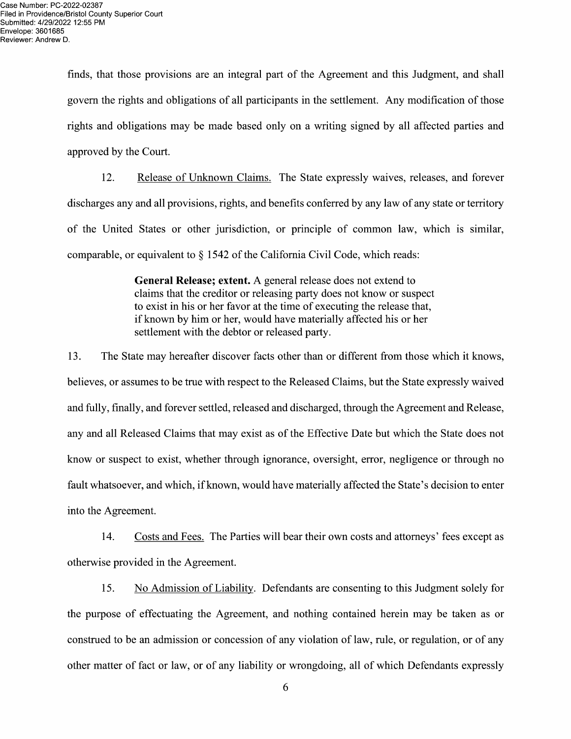finds, that those provisions are an integral part 0f the Agreement and this Judgment, and shall govern the rights and obligations of all participants in the settlement. Any modification of those rights and obligations may be made based only on writing signed by all affected parties and approved by the Court.

12. Release of Unknown Claims. The State expressly waives, releases, and forever discharges any and all provisions, rights, and benefits conferred by any law of any state or territory 0f the United States or other jurisdiction, or principle of common law, which is similar, comparable, or equivalent to  $\S$  1542 of the California Civil Code, which reads:

> General Release; extent. A general release does not extend to claims that the creditor 0r releasing party does not know 0r suspect to exist in his or her favor at the time of executing the release that, if known by him 0r her, would have materially affected his or her settlement With the debtor or released party.

13. The State may hereafter discover facts other than or different from those which it knows, believes, or assumes to be true with respect to the Released Claims, but the State expressly waived and fully, finally, and forever settled, released and discharged, through the Agreement and Release, any and all Released Claims that may exist as 0f the Effective Date but which the State does not know or suspect to exist, whether through ignorance, oversight, error, negligence or through no fault whatsoever, and which, if known, would have materially affected the State's decision to enter into the Agreement.

14. Costs and Fees. The Parties will bear their own costs and attorneys' fees except as otherwise provided in the Agreement.

15. No Admission 0f Liability. Defendants are consenting t0 this Judgment solely for the purpose of effectuating the Agreement, and nothing contained herein may be taken as or construed to be an admission or concession of any violation of law, rule, or regulation, or of any other matter 0f fact or law, 0r of any liability 0r wrongdoing, all of Which Defendants expressly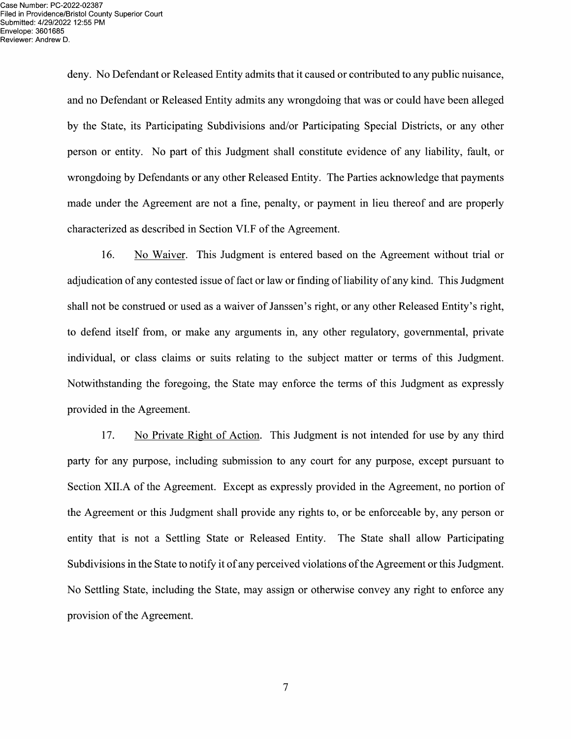deny. No Defendant or Released Entity admits that it caused 0r contributed to any public nuisance, and n0 Defendant or Released Entity admits any wrongdoing that was or could have been alleged by the State, its Participating Subdivisions and/or Participating Special Districts, 0r any other person or entity. N0 part 0f this Judgment shall constitute evidence 0f any liability, fault, or wrongdoing by Defendants or any other Released Entity. The Parties acknowledge that payments made under the Agreement are not a fine, penalty, or payment in lieu thereof and are properly characterized as described in Section VLF of the Agreement.

16. N0 Waiver. This Judgment is entered based on the Agreement Without trial 0r adjudication 0f any contested issue of fact or law or finding of liability of any kind. This Judgment shall not be construed or used as a waiver of Janssen's right, or any other Released Entity's right, to defend itself from, or make any arguments in, any other regulatory, governmental, private individual, 0r class claims or suits relating to the subject matter or terms of this Judgment. Notwithstanding the foregoing, the State may enforce the terms of this Judgment as expressly provided in the Agreement.

17. No Private Right of Action. This Judgment is not intended for use by any third party for any purpose, including submission to any court for any purpose, except pursuant to Section XII.A of the Agreement. Except as expressly provided in the Agreement, no portion of the Agreement or this Judgment shall provide any rights t0, 0r be enforceable by, any person or entity that is not a Settling State or Released Entity. The State shall allow Participating Subdivisions in the State to notify it of any perceived violations of the Agreement or this Judgment. No Settling State, including the State, may assign or otherwise convey any right to enforce any provision of the Agreement.

 $\overline{7}$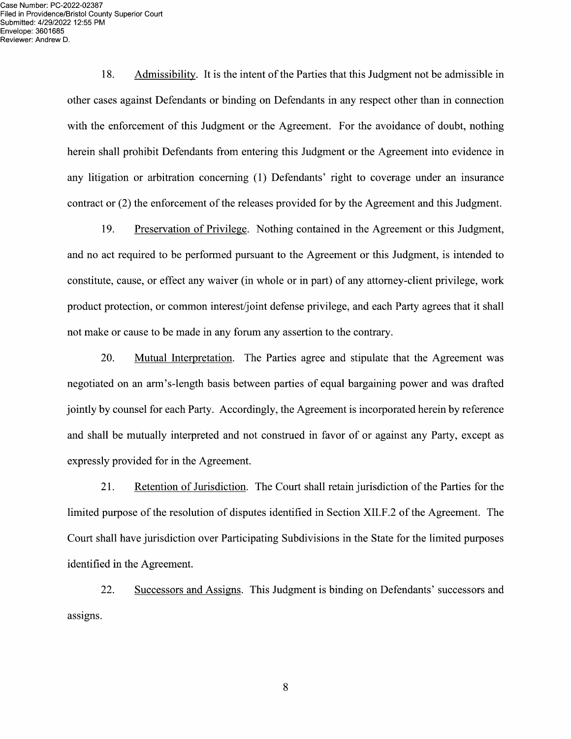> 18. Admissibility. It is the intent of the Parties that this Judgment not be admissible in other cases against Defendants or binding 0n Defendants in any respect other than in connection with the enforcement of this Judgment or the Agreement. For the avoidance of doubt, nothing herein shall prohibit Defendants from entering this Judgment or the Agreement into evidence in any litigation or arbitration concerning (1) Defendants' right to coverage under an insurance contract or (2) the enforcement of the releases provided for by the Agreement and this Judgment.

> 19. Preservation of Privilege. Nothing contained in the Agreement or this Judgment, and no act required to be performed pursuant to the Agreement or this Judgment, is intended to constitute, cause, 0r effect any waiver (in Whole or in part) of any attorney-client privilege, work product protection, or common interest/joint defense privilege, and each Party agrees that it shall not make or cause t0 be made in any forum any assertion to the contrary.

> 20. Mutual Interpretation. The Parties agree and stipulate that the Agreement was negotiated on an arm's—length basis between parties of equal bargaining power and was drafted jointly by counsel for each Party. Accordingly, the Agreement isincorporated herein by reference and shall be mutually interpreted and not construed in favor of or against any Party, except as expressly provided for in the Agreement.

> 21. Retention 0f Jurisdiction. The Court shall retain jurisdiction 0f the Parties for the limited purpose of the resolution of disputes identified in Section XII.F.2 of the Agreement. The Court shall have jurisdiction over Participating Subdivisions in the State for the limited purposes identified in the Agreement.

> 22. Successors and Assigns. This Judgment is binding 0n Defendants' successors and assigns.

> > 8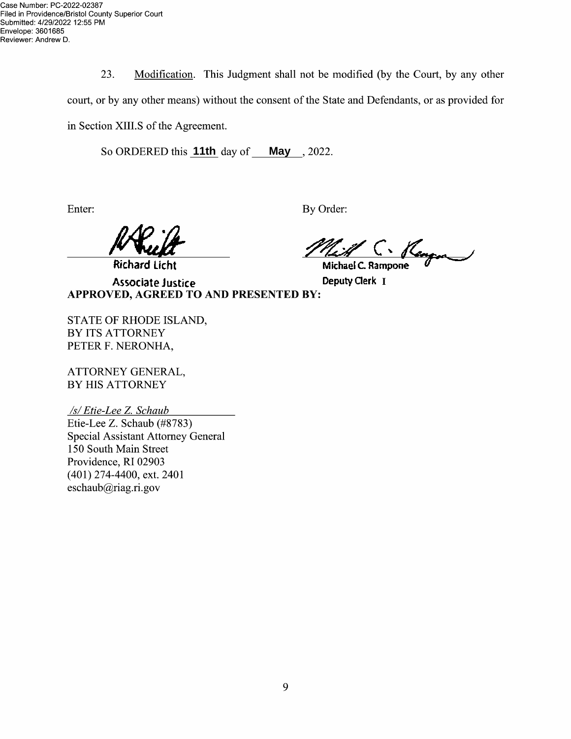23. Modification. This Judgment shall not be modified (by the Court, by any other

court, or by any other means) Without the consent 0f the State and Defendants, 0r as provided for

in Section XIII.S of the Agreement.

So ORDERED this **11th** day of **May**, 2022.

Enter: By Order:

APPROVED, AGREED TO AND PRESENTED BY:

**Richard Licht** 

<u>Mill C. Keng</u>en

Deputy Clerk T

STATE OF RHODE ISLAND, BY ITS ATTORNEY

**Associate Justice** 

ATTORNEY GENERAL, BY HIS ATTORNEY

PETER F. NERONHA,

/s/ Etie—Lee Z. Schaub Etie-Lee Z. Schaub (#8783) Special Assistant Attorney General 150 South Main Street Providence, RI 02903 (401) 274-4400, ext. 2401 eschaub@riag.ri.gov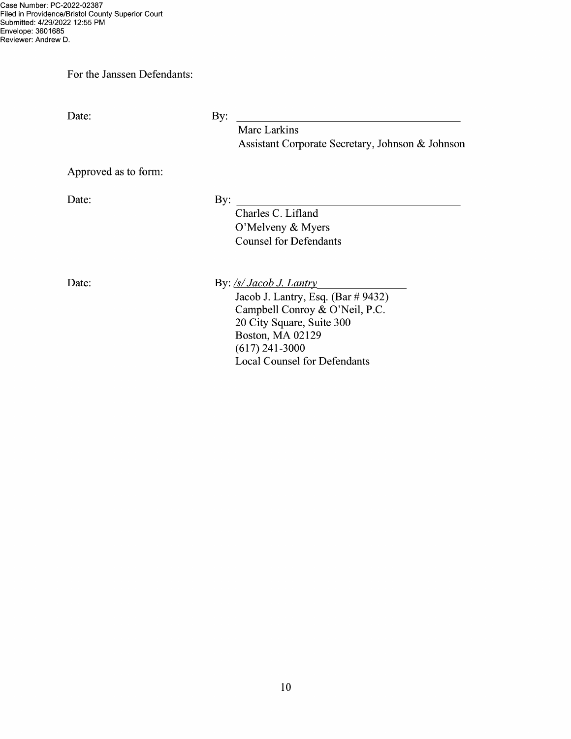For the Janssen Defendants:

Date: By:

Marc Larkins Assistant Corporate Secretary, Johnson & Johnson

Approved as to form:

Date: By:

Charles C. Lifland O'Melveny & Myers Counsel for Defendants

Date: By: <u>/s/ Jacob J. Lantry</u>

Jacob J. Lantry, Esq. (Bar # 9432) Campbell Conroy  $&$  O'Neil, P.C. 20 City Square, Suite 300 Boston, MA <sup>02129</sup>  $(617)$  241-3000 Local Counsel for Defendants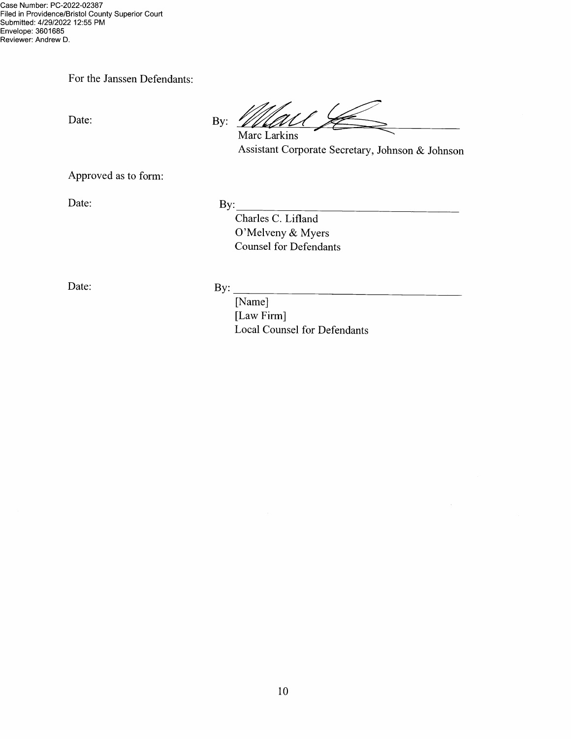For the Janssen Defendants:

Date:

a<br>U By:  $\bigtriangleup$ Marc Larkins

Assistant Corporate Secretary, Johnson & Johnson

Approved as to form:

Date:

 $\mathbf{By:}$ 

Charles C. Lifland O'Melveny & Myers Counsel for Defendants

Date:

# By:  $\qquad \qquad$

[Name] [Law Firm] Local Counsel for Defendants